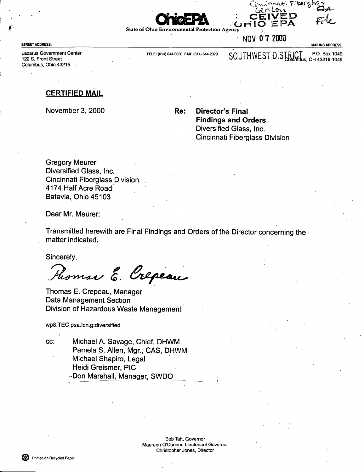



• NOV 0 7 2000

' MAILING ADDRESS:

Lazarus Govemment Center 122 S. Front Street Columbus, Ohio 43215

STREET ADDRESS

TELE: (614) 644-3020 FAX: (614) 644-2329 SOUTHWEST DISTRICT P.O. Box 1049

### **CERTIFIED MAIL**

November 3, 2000

Re: Director's Final Findings and Orders Diversified Glass, Inc. Cincinnati Fiberglass Division

**Gregory Meurer** Diversified Glass, Inc. Cincinnati Fiberglass Division. 4174 Half Acre Road~ • Batavia, Ohio 45103

Dear Mr. Meurer:

Transmitted herewith are Final Findings and Orders of the Director concerning the matter indicated.

Sincerely,

Phomas E. Crepeau

Thomas E. Crepeau, Manager Data Management Section Division of Hazardous Waste Management

wp8.TEC.psa.Icn.g:diversified

cc: Michael A. Savage, Chief, DHWM Pamela S. Allen, Mgr., CAS, DHWM Michael Shapiro, Legal • Heidi Greismer, PIC ~-Don Marshall, Manager, SWDO

> Bob Taft, Governor Maureen O'Connor, Lieutenant Govemor • Christopher Jones, Director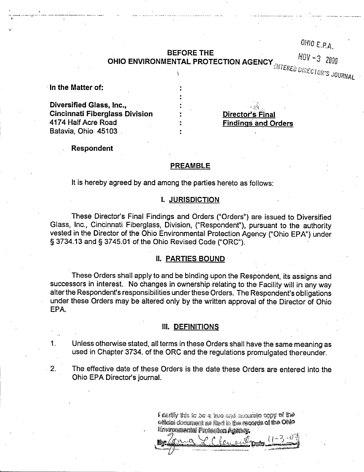## BEFORE THE **BEFORE** THE

 $0H10$  E.P.A.

.

# OHIO ENVIRONMENTAL PROTECTION AGENCY

JUURNAL

In the Matter of:

--- -----•..- ---:----- --- -- ~-----=-----.. \_... ..\_.. -- -- - ---..... .\_ \_..\_ .

Diversified Glass, Inc., Cincinnati Fiberglass Division 4174 Half Acre Road Batavia, Ohio 45103

Director's Final Findings and Orders

. There is a constraint of the contract  $\mathcal{L}_\text{c}$  ,  $\mathcal{L}_\text{c}$  ,  $\mathcal{L}_\text{c}$  ,  $\mathcal{L}_\text{c}$  ,  $\mathcal{L}_\text{c}$ 

Respondent

#### PREAMBLE

It is hereby agreed by and among the parties hereto as follows:

#### 1. JURISDICTION

These Director's Final Findings and Orders ("Orders") are issued to Diversified Glass, Inc., Cincinnati Fiberglass, Division, ("Respondent"), pursuant to the authority vested in the Director of the Ohio Environmental Protection Agency ("Ohio EPA") under § 3734.13 and § 3745.01 of the Ohio Revised Code ("ORC").

#### 11. PARTIES BOUND

These Orders shall apply to and be binding upon the Respondent, its assigns and successors in interest. No changes in ownership relating to the Facility will in any way alter the Respondent's responsibilities under these Orders. The Respondent's obligations under these Orders may be altered only by the written approval of the Director of Ohio EPA. .

#### III. DEFINITIONS

1. Unless otherwise stated, all terms in these Orders shall have the same meaning as used in Chapter 3734. of the ORC and the regulations promulgated thereunder.

2. The effective date of these Orders is the date these Orders are entered into the Ohio EPA Director's journal.

> $\mathfrak k$  Certify this in , be a true and second also copy of the official document as filed in the records of the Ohlo Environmental Profection Agency.

I -.j へび b.~.~~, \_ . \_...\_........ ...\_.\_...\_..\_..\_`.•-\_\_ .....,.....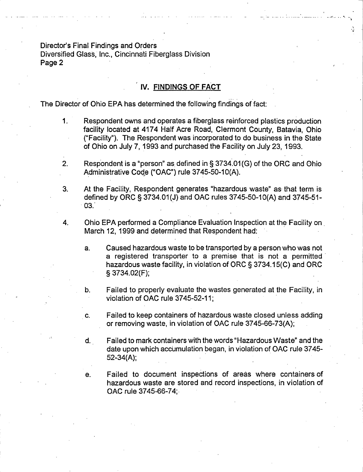Director's Final Findings and Orders Diversified Glass, Inc., Cincinnati Fiberglass Division Page 2

## **IV.FINDINGS OF FACT**

The Director of Ohio EPA has determined the following findings of fact:

1. Respondent owns and operates a fiberglass reinforced plastics production facility located at 4174 Half Acre Road, Clermont County, Batavia, Ohio (4Facility"). The Respondent was incorporated to do business in the State of Ohio on July 7, 1993 and purchased the Facility on July 23, 1993.

والجاد مسافر أن يوسس سوديا والمداخ والتي توارد التي المداخلين المداخل التي المداخل المداخل المداخل المداخل المد

- 2. Respondent is a "person" as defined in § 3734.01(G) of the ORC and Ohio Administrative Code ("OAC") rule 3745-50-10(A).
- 3. At the Facility, Respondent generates "hazardous waste" as- that term is defined by ORC § 3734.01 (J) and OAC rules 3745-50-1 O(A) and 3745-51- 03.'
- 4. Ohio EPA performed a Compliance Evaluation Inspection at the Facility on March 12, 1999 and determined that Respondent had: •
	- a. Caused hazardous waste to be transported by a person who was not a registered transporter to a premise that is not a permitted hazardous waste facility, in violation of ORC § 3734.15(C) and ORC § 3734.02(F);
	- b. Failed to properly evaluate the Wastes generated at the Facility, in violation of OAC rule 3745-52-11;
	- c. Failed to keep containers of hazardous waste closed unless adding or removing waste, in violation of OAC rule 3745-66-73(A);
	- d. Failed to mark containers with the words "Hazardous Waste" and the date upon which accumulation began, in violation of OAC rule 3745-52-34(A);
	- e. Failed to document inspections of areas where containers of hazardous waste are stored and record inspections, in violation of OAC rule 3745-66-74;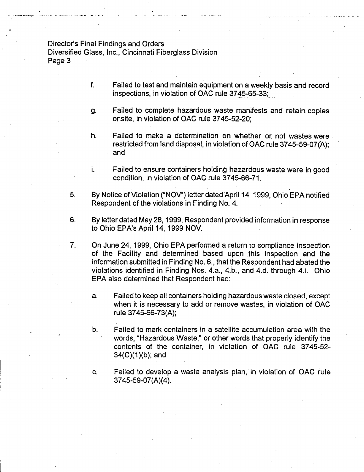#### Director's Final Findings and Orders

Diversified Glass, Inc., Cincinnati Fiberglass Division Page 3

- f. Failed to test and maintain equipment on a weekly basis and record inspections, in violation of OAC rule 3745-65-33;
- g. Failed to complete hazardous waste manifests and retain copies onsite, in violation of OAC rule 3745-52-20;
- h. Failed to make a determination on whether or not wastes were restricted from land disposal, in violation of OAC rule 3745-59-07(A); and
- i. Failed to ensure containers holding hazardous waste were in good condition, in violation of OAC rule 3745-66-71.
- 5. By Notice of Violation ("NOV") letter dated April 14, 1999, Ohio EPA notified Respondent of the violations in Finding No. 4.
- 6. By letter dated May 28, 1999, Respondent provided information in response to Ohio EPA's April 14, 1999 NOV.
- 7. On June 24, 1999, Ohio EPA performed a return to compliance inspection of the Facility and determined based upon this inspection and the information submitted in Finding No. 6., that the Respondent had abated the violations identified in Finding Nos. **4.a.,** 4.b., and 4.d. through 4.i. Ohio EPA also determined that Respondent had:
	- a. Failed to keep all containers holding hazardous waste closed, except when it is necessary to add or remove wastes, in violation of OAC rule 3745-66-73(A);
	- b. Failed to mark containers in a satellite accumulation area with the words, "Hazardous Waste," or other words that properly identify the contents of the container, in violation of OAC rule 3745-52-34(C)(1)(b); and
	- c. Failed to develop a waste analysis plan, in violation of OAC rule 3745-59-07(A)(4).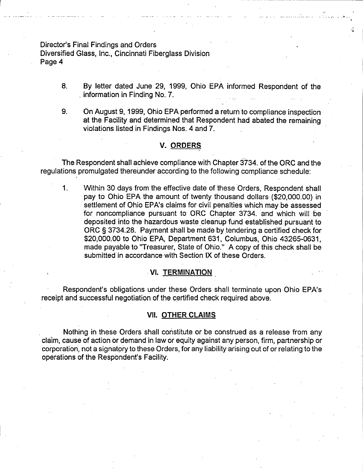#### Director's Final Findings and Orders

... ---- ...... . . ...................... ..

Diversified Glass, Inc., Cincinnati Fiberglass Division Page 4

> 8. By letter dated June 29, 1999, Ohio EPA informed Respondent of the information in Finding No. 7.

.<br>إنتظام مرضيتًا المرضيتًا المستقدمة التي تركيب التي التي التي التي تستعدد بعد المعاملة المنتقدة المنتشر التي ال

u

9. On August 9, 1999, Ohio EPA performed a return to compliance inspection at the Facility and determined that Respondent had abated the remaining violations listed in Findings Nos. 4 and 7.

#### **V. ORDERS**

The Respondent shall achieve compliance with Chapter 3734. of the ORC and the regulations promulgated thereunder according to the following compliance schedule:

1. Within 30 days from the effective date of these Orders, Respondent shall pay to Ohio EPA the amount of twenty thousand dollars (\$20,000.00) in settlement of Ohio EPA's claims for civil penalties which may be assessed for noncompliance pursuant to ORC Chapter 3734. and which will be deposited into the hazardous waste cleanup fund established pursuant to ORC § 3734.28. Payment shall be made by tendering a certified check for \$20,000.00 to Ohio EPA, Department 631, Columbus, Ohio 43265-0631, made payable to "Treasurer, State of Ohio:" A copy of this check shall be submitted in accordance with Section IX of these Orders.

### VI. TERMINATION

Respondent's obligations under these Orders shall terminate upon .Ohio EPA's receipt and successful negotiation of the certified check required above.

#### **VII. OTHER CLAIMS**

**Nothing** in these Orders shall constitute or be construed as a release from any claim, cause of action or demand in law or equity against any person, firm, partnership or corporation, not a signatory to these Orders, for any liability arising out of or relating to the operations of the Respondent's Facility.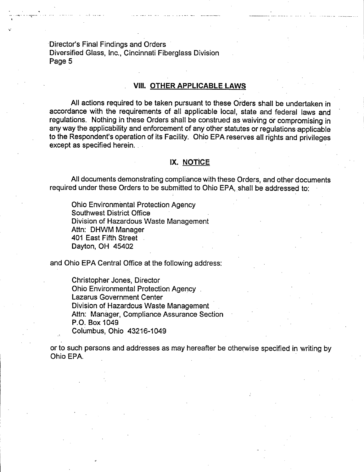Director's Final Findings and Orders Diversified Glass, Inc., Cincinnati Fiberglass Division Page 5

#### **VIII.OTHER APPLICABLE LAWS**

. —....... \_ ......... ..... ...

All actions required to be taken pursuant to these Orders shall be undertaken in accordance with the requirements of all applicable local, state and federal laws and regulations. Nothing in these Orders shall be construed as waiving or compromising in any way the applicability and enforcement of any other statutes or regulations applicable to the Respondent's operation of its Facility. Ohio EPA reserves all rights and privileges except as specified herein.

#### IX. NOTICE

AII documents demonstrating compliance with these Orders, and other documents required under these Orders to be submitted to Ohio EPA, shall be addressed to:

Ohio Environmental Protection Agency Southwest District Office • Division of Hazardous Waste Management Attn: DHWM Manager 401 East Fifth Street Dayton, OH 45402

and Ohio EPA Central Office at the following address:

Christopher Jones, Director Ohio Environmental Protection Agency Lazarus Government Center Division of Hazardous Waste Management Attn: Manager, Compliance Assurance Section P.O. Box 1049. Columbus, Ohio 43216-1049

or to such persons and addresses as may hereafter be otherwise specified in writing by Ohio EPA.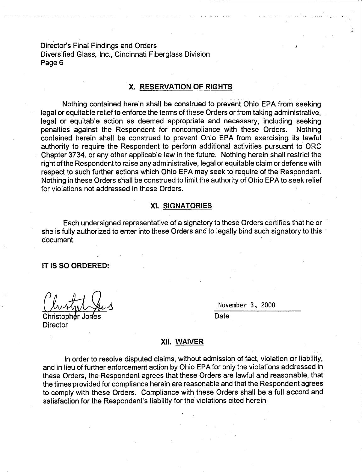Director's Final Findings and Orders Diversified Glass, Inc., Cincinnati Fiberglass Division Page 6

## **X. RESERVATION OF RIGHTS**

Nothing contained herein shall be construed to prevent Ohio EPA from seeking legal or equitable relief to enforce the terms of these Orders or from taking administrative, legal or equitable action **as** deemed appropriate and necessary, including seeking penalties against the Respondent for noncompliance with these Orders. Nothing contained herein shall be construed to prevent Ohio EPA from exercising. its lawful authority to require the Respondent to perform additional activities pursuant to ORC Chapter 3734. or any other applicable law in the future. Nothing herein shall restrict the right of the Respondent to raise any administrative, legal or equitable claim or defense with respect to such further actions which Ohio EPA may seek to require of the Respondent. Nothing in these Orders shall be construed to limit the authority of Ohio EPA to seek relief for violations not addressed in these Orders.

#### XI. SIGNATORIES

Each undersigned representative of a signatory to these Orders certifies that he or she is fully authorized to enter into these Orders and to legally bind such signatory to this document.

#### **IT IS SO ORDERED:**

Christopher Jones **Christopher Jones Director** 

November 3, 2000

- -- -.. . \_. . . . . ... . . . .. . . . ..:. .. ... ....

#### XII. WAIVER

In order to resolve disputed claims, without admission of fact, violation or liability, and in lieu of further enforcement action by Ohio EPA for only the violations addressed in these Orders, the Respondent agrees that these Orders are lawful and reasonable, that the times provided for compliance herein are reasonable and that the Respondent agrees to comply with these Orders. Compliance with these Orders shall be a full accord and satisfaction for the Respondent's liability for the violations cited herein.